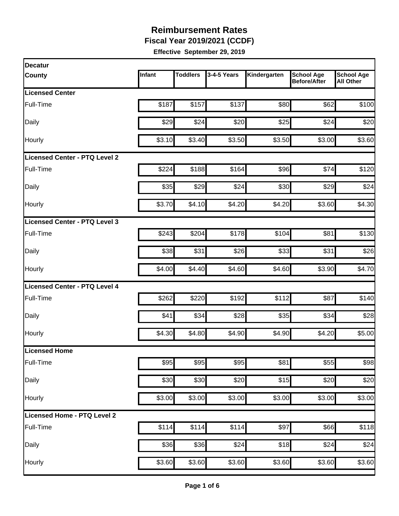**Fiscal Year 2019/2021 (CCDF)**

| <b>Decatur</b>                       |        |                 |             |              |                                          |                                       |
|--------------------------------------|--------|-----------------|-------------|--------------|------------------------------------------|---------------------------------------|
| <b>County</b>                        | Infant | <b>Toddlers</b> | 3-4-5 Years | Kindergarten | <b>School Age</b><br><b>Before/After</b> | <b>School Age</b><br><b>All Other</b> |
| <b>Licensed Center</b>               |        |                 |             |              |                                          |                                       |
| Full-Time                            | \$187  | \$157           | \$137       | \$80         | \$62                                     | \$100                                 |
| Daily                                | \$29   | \$24            | \$20        | \$25         | \$24                                     | \$20                                  |
| Hourly                               | \$3.10 | \$3.40          | \$3.50      | \$3.50       | \$3.00                                   | \$3.60                                |
| <b>Licensed Center - PTQ Level 2</b> |        |                 |             |              |                                          |                                       |
| Full-Time                            | \$224  | \$188           | \$164       | \$96         | \$74                                     | \$120                                 |
| Daily                                | \$35   | \$29            | \$24        | \$30         | \$29                                     | \$24                                  |
| <b>Hourly</b>                        | \$3.70 | \$4.10          | \$4.20      | \$4.20       | \$3.60                                   | \$4.30                                |
| Licensed Center - PTQ Level 3        |        |                 |             |              |                                          |                                       |
| Full-Time                            | \$243  | \$204           | \$178       | \$104        | \$81                                     | \$130                                 |
| Daily                                | \$38   | \$31            | \$26        | \$33         | \$31                                     | \$26                                  |
| Hourly                               | \$4.00 | \$4.40          | \$4.60      | \$4.60       | \$3.90                                   | \$4.70                                |
| <b>Licensed Center - PTQ Level 4</b> |        |                 |             |              |                                          |                                       |
| Full-Time                            | \$262  | \$220           | \$192       | \$112        | \$87                                     | \$140                                 |
| Daily                                | \$41   | \$34            | \$28        | \$35         | \$34                                     | \$28                                  |
| Hourly                               | \$4.30 | \$4.80          | \$4.90      | \$4.90       | \$4.20                                   | \$5.00                                |
| Licensed Home                        |        |                 |             |              |                                          |                                       |
| Full-Time                            | \$95   | \$95            | \$95        | \$81         | \$55                                     | \$98                                  |
| Daily                                | \$30   | \$30            | \$20        | \$15         | \$20                                     | \$20                                  |
| Hourly                               | \$3.00 | \$3.00          | \$3.00      | \$3.00       | \$3.00                                   | \$3.00                                |
| Licensed Home - PTQ Level 2          |        |                 |             |              |                                          |                                       |
| Full-Time                            | \$114  | \$114           | \$114       | \$97         | \$66                                     | \$118                                 |
| Daily                                | \$36   | \$36            | \$24        | \$18         | \$24                                     | \$24                                  |
| Hourly                               | \$3.60 | \$3.60          | \$3.60      | \$3.60       | \$3.60                                   | \$3.60                                |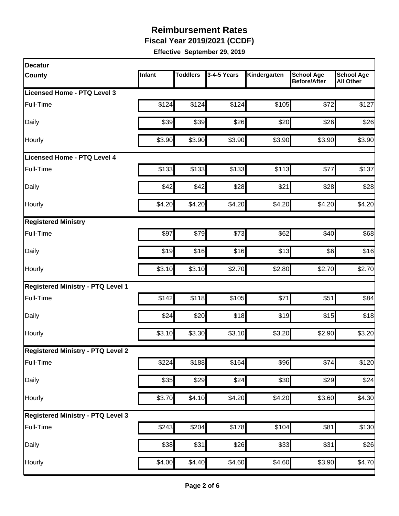**Fiscal Year 2019/2021 (CCDF)**

| <b>Decatur</b>                           |        |                 |             |              |                                          |                                       |
|------------------------------------------|--------|-----------------|-------------|--------------|------------------------------------------|---------------------------------------|
| <b>County</b>                            | Infant | <b>Toddlers</b> | 3-4-5 Years | Kindergarten | <b>School Age</b><br><b>Before/After</b> | <b>School Age</b><br><b>All Other</b> |
| Licensed Home - PTQ Level 3              |        |                 |             |              |                                          |                                       |
| Full-Time                                | \$124  | \$124           | \$124       | \$105        | \$72                                     | \$127                                 |
| Daily                                    | \$39   | \$39            | \$26        | \$20         | \$26                                     | \$26                                  |
| Hourly                                   | \$3.90 | \$3.90          | \$3.90      | \$3.90       | \$3.90                                   | \$3.90                                |
| <b>Licensed Home - PTQ Level 4</b>       |        |                 |             |              |                                          |                                       |
| Full-Time                                | \$133  | \$133           | \$133       | \$113        | \$77                                     | \$137                                 |
| Daily                                    | \$42   | \$42            | \$28        | \$21         | \$28                                     | \$28                                  |
| Hourly                                   | \$4.20 | \$4.20          | \$4.20      | \$4.20       | \$4.20                                   | \$4.20                                |
| <b>Registered Ministry</b>               |        |                 |             |              |                                          |                                       |
| Full-Time                                | \$97   | \$79            | \$73        | \$62         | \$40                                     | \$68                                  |
| Daily                                    | \$19   | \$16            | \$16        | \$13         | \$6]                                     | \$16                                  |
| Hourly                                   | \$3.10 | \$3.10          | \$2.70      | \$2.80       | \$2.70                                   | \$2.70                                |
| <b>Registered Ministry - PTQ Level 1</b> |        |                 |             |              |                                          |                                       |
| Full-Time                                | \$142  | \$118           | \$105       | \$71         | \$51                                     | \$84                                  |
| Daily                                    | \$24   | \$20            | \$18        | \$19         | \$15                                     | \$18                                  |
| Hourly                                   | \$3.10 | \$3.30          | \$3.10      | \$3.20       | \$2.90                                   | \$3.20                                |
| <b>Registered Ministry - PTQ Level 2</b> |        |                 |             |              |                                          |                                       |
| Full-Time                                | \$224  | \$188           | \$164       | \$96         | \$74                                     | \$120                                 |
| Daily                                    | \$35   | \$29            | \$24        | \$30         | \$29                                     | \$24                                  |
| Hourly                                   | \$3.70 | \$4.10          | \$4.20      | \$4.20       | \$3.60                                   | \$4.30                                |
| <b>Registered Ministry - PTQ Level 3</b> |        |                 |             |              |                                          |                                       |
| Full-Time                                | \$243  | \$204           | \$178       | \$104        | \$81                                     | \$130                                 |
| Daily                                    | \$38   | \$31            | \$26        | \$33         | \$31                                     | \$26                                  |
| Hourly                                   | \$4.00 | \$4.40          | \$4.60      | \$4.60       | \$3.90                                   | \$4.70                                |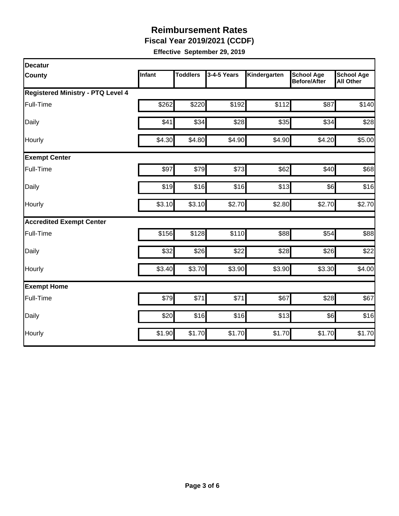**Fiscal Year 2019/2021 (CCDF)**

| Decatur                                  |        |                 |             |              |                                          |                                       |
|------------------------------------------|--------|-----------------|-------------|--------------|------------------------------------------|---------------------------------------|
| County                                   | Infant | <b>Toddlers</b> | 3-4-5 Years | Kindergarten | <b>School Age</b><br><b>Before/After</b> | <b>School Age</b><br><b>All Other</b> |
| <b>Registered Ministry - PTQ Level 4</b> |        |                 |             |              |                                          |                                       |
| Full-Time                                | \$262  | \$220           | \$192       | \$112        | \$87                                     | \$140                                 |
| Daily                                    | \$41   | \$34            | \$28        | \$35         | \$34                                     | \$28                                  |
| Hourly                                   | \$4.30 | \$4.80          | \$4.90      | \$4.90       | \$4.20                                   | \$5.00                                |
| <b>Exempt Center</b>                     |        |                 |             |              |                                          |                                       |
| Full-Time                                | \$97   | \$79            | \$73        | \$62         | \$40                                     | \$68                                  |
| Daily                                    | \$19   | \$16            | \$16        | \$13         | \$6]                                     | \$16                                  |
| Hourly                                   | \$3.10 | \$3.10          | \$2.70      | \$2.80       | \$2.70                                   | \$2.70                                |
| <b>Accredited Exempt Center</b>          |        |                 |             |              |                                          |                                       |
| Full-Time                                | \$156  | \$128           | \$110       | \$88         | \$54                                     | \$88                                  |
| Daily                                    | \$32   | \$26            | \$22        | \$28         | \$26                                     | \$22                                  |
| Hourly                                   | \$3.40 | \$3.70          | \$3.90      | \$3.90       | \$3.30                                   | \$4.00                                |
| <b>Exempt Home</b>                       |        |                 |             |              |                                          |                                       |
| Full-Time                                | \$79   | \$71            | \$71        | \$67         | \$28                                     | \$67                                  |
| Daily                                    | \$20   | \$16            | \$16        | \$13         | \$6]                                     | \$16                                  |
| Hourly                                   | \$1.90 | \$1.70          | \$1.70      | \$1.70       | \$1.70                                   | \$1.70                                |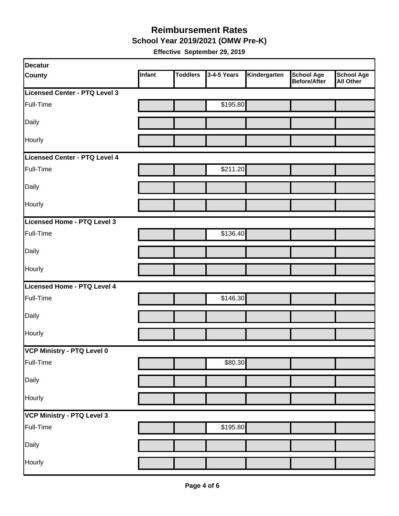**School Year 2019/2021 (OMW Pre-K)**

| Decatur                       |        |                 |             |              |                                   |                                       |
|-------------------------------|--------|-----------------|-------------|--------------|-----------------------------------|---------------------------------------|
| <b>County</b>                 | Infant | <b>Toddlers</b> | 3-4-5 Years | Kindergarten | <b>School Age</b><br>Before/After | <b>School Age</b><br><b>All Other</b> |
| Licensed Center - PTQ Level 3 |        |                 |             |              |                                   |                                       |
| Full-Time                     |        |                 | \$195.80    |              |                                   |                                       |
| Daily                         |        |                 |             |              |                                   |                                       |
| Hourly                        |        |                 |             |              |                                   |                                       |
| Licensed Center - PTQ Level 4 |        |                 |             |              |                                   |                                       |
| Full-Time                     |        |                 | \$211.20    |              |                                   |                                       |
| Daily                         |        |                 |             |              |                                   |                                       |
| Hourly                        |        |                 |             |              |                                   |                                       |
| Licensed Home - PTQ Level 3   |        |                 |             |              |                                   |                                       |
| Full-Time                     |        |                 | \$136.40    |              |                                   |                                       |
| Daily                         |        |                 |             |              |                                   |                                       |
| Hourly                        |        |                 |             |              |                                   |                                       |
| Licensed Home - PTQ Level 4   |        |                 |             |              |                                   |                                       |
| Full-Time                     |        |                 | \$146.30    |              |                                   |                                       |
| Daily                         |        |                 |             |              |                                   |                                       |
| Hourly                        |        |                 |             |              |                                   |                                       |
| VCP Ministry - PTQ Level 0    |        |                 |             |              |                                   |                                       |
| Full-Time                     |        |                 | \$80.30     |              |                                   |                                       |
| Daily                         |        |                 |             |              |                                   |                                       |
| Hourly                        |        |                 |             |              |                                   |                                       |
| VCP Ministry - PTQ Level 3    |        |                 |             |              |                                   |                                       |
| Full-Time                     |        |                 | \$195.80    |              |                                   |                                       |
| Daily                         |        |                 |             |              |                                   |                                       |
| Hourly                        |        |                 |             |              |                                   |                                       |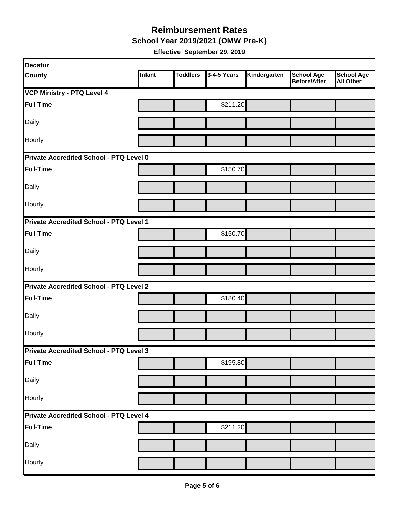**School Year 2019/2021 (OMW Pre-K)**

| Decatur                                        |        |                 |             |              |                                          |                                       |
|------------------------------------------------|--------|-----------------|-------------|--------------|------------------------------------------|---------------------------------------|
| <b>County</b>                                  | Infant | <b>Toddlers</b> | 3-4-5 Years | Kindergarten | <b>School Age</b><br><b>Before/After</b> | <b>School Age</b><br><b>All Other</b> |
| <b>VCP Ministry - PTQ Level 4</b>              |        |                 |             |              |                                          |                                       |
| Full-Time                                      |        |                 | \$211.20    |              |                                          |                                       |
| Daily                                          |        |                 |             |              |                                          |                                       |
| Hourly                                         |        |                 |             |              |                                          |                                       |
| Private Accredited School - PTQ Level 0        |        |                 |             |              |                                          |                                       |
| Full-Time                                      |        |                 | \$150.70    |              |                                          |                                       |
| Daily                                          |        |                 |             |              |                                          |                                       |
| Hourly                                         |        |                 |             |              |                                          |                                       |
| Private Accredited School - PTQ Level 1        |        |                 |             |              |                                          |                                       |
| Full-Time                                      |        |                 | \$150.70    |              |                                          |                                       |
| Daily                                          |        |                 |             |              |                                          |                                       |
| Hourly                                         |        |                 |             |              |                                          |                                       |
| <b>Private Accredited School - PTQ Level 2</b> |        |                 |             |              |                                          |                                       |
| Full-Time                                      |        |                 | \$180.40    |              |                                          |                                       |
| Daily                                          |        |                 |             |              |                                          |                                       |
| Hourly                                         |        |                 |             |              |                                          |                                       |
| Private Accredited School - PTQ Level 3        |        |                 |             |              |                                          |                                       |
| Full-Time                                      |        |                 | \$195.80    |              |                                          |                                       |
| Daily                                          |        |                 |             |              |                                          |                                       |
| Hourly                                         |        |                 |             |              |                                          |                                       |
| Private Accredited School - PTQ Level 4        |        |                 |             |              |                                          |                                       |
| Full-Time                                      |        |                 | \$211.20    |              |                                          |                                       |
| Daily                                          |        |                 |             |              |                                          |                                       |
| Hourly                                         |        |                 |             |              |                                          |                                       |